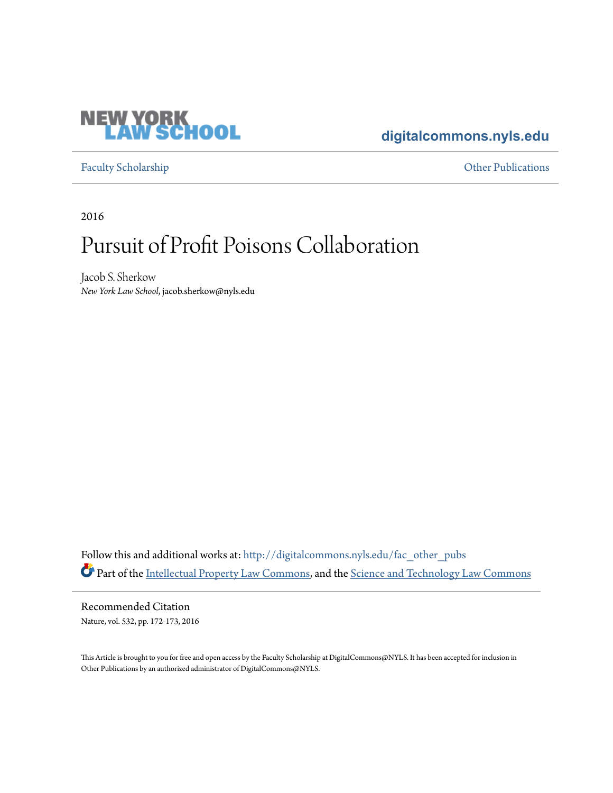

### **[digitalcommons.nyls.edu](http://digitalcommons.nyls.edu?utm_source=digitalcommons.nyls.edu%2Ffac_other_pubs%2F32&utm_medium=PDF&utm_campaign=PDFCoverPages)**

[Faculty Scholarship](http://digitalcommons.nyls.edu/fac_scholarship?utm_source=digitalcommons.nyls.edu%2Ffac_other_pubs%2F32&utm_medium=PDF&utm_campaign=PDFCoverPages) **Calculations** [Other Publications](http://digitalcommons.nyls.edu/fac_other_pubs?utm_source=digitalcommons.nyls.edu%2Ffac_other_pubs%2F32&utm_medium=PDF&utm_campaign=PDFCoverPages) **Other Publications** 

2016

## Pursuit of Profit Poisons Collaboration

Jacob S. Sherkow *New York Law School*, jacob.sherkow@nyls.edu

Follow this and additional works at: [http://digitalcommons.nyls.edu/fac\\_other\\_pubs](http://digitalcommons.nyls.edu/fac_other_pubs?utm_source=digitalcommons.nyls.edu%2Ffac_other_pubs%2F32&utm_medium=PDF&utm_campaign=PDFCoverPages) Part of the [Intellectual Property Law Commons,](http://network.bepress.com/hgg/discipline/896?utm_source=digitalcommons.nyls.edu%2Ffac_other_pubs%2F32&utm_medium=PDF&utm_campaign=PDFCoverPages) and the [Science and Technology Law Commons](http://network.bepress.com/hgg/discipline/875?utm_source=digitalcommons.nyls.edu%2Ffac_other_pubs%2F32&utm_medium=PDF&utm_campaign=PDFCoverPages)

Recommended Citation Nature, vol. 532, pp. 172-173, 2016

This Article is brought to you for free and open access by the Faculty Scholarship at DigitalCommons@NYLS. It has been accepted for inclusion in Other Publications by an authorized administrator of DigitalCommons@NYLS.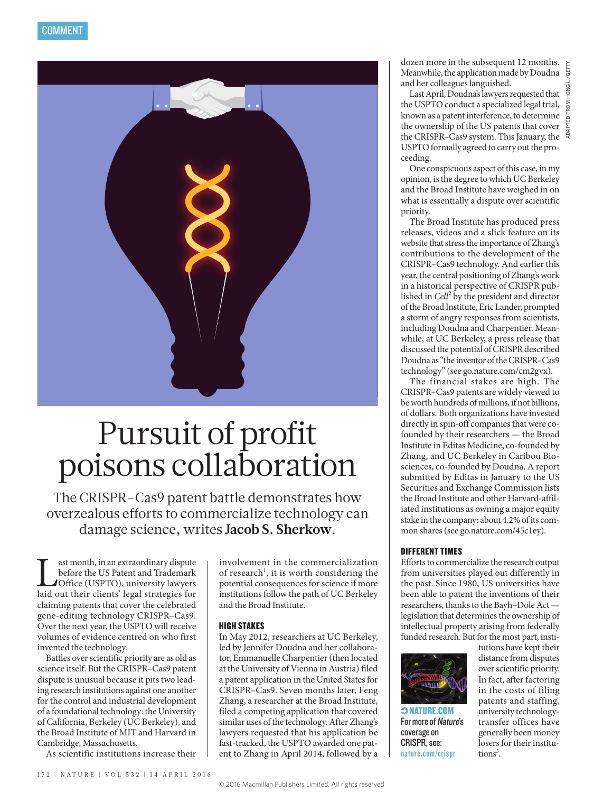

# Pursuit of profit poisons collaboration

The CRISPR–Cas9 patent battle demonstrates how overzealous efforts to commercialize technology can damage science, writes **Jacob S. Sherkow**.

ast month, in an extraordinary dispute<br>before the US Patent and Trademark<br>Office (USPTO), university lawyers<br>laid out their clients' legal strategies for before the US Patent and Trademark Office (USPTO), university lawyers laid out their clients' legal strategies for claiming patents that cover the celebrated gene-editing technology CRISPR–Cas9. Over the next year, the USPTO will receive volumes of evidence centred on who first invented the technology.

Battles over scientific priority are as old as science itself. But the CRISPR–Cas9 patent dispute is unusual because it pits two leading research institutions against one another for the control and industrial development of a foundational technology: the University of California, Berkeley (UC Berkeley), and the Broad Institute of MIT and Harvard in Cambridge, Massachusetts.

As scientific institutions increase their

involvement in the commercialization of research<sup>1</sup>, it is worth considering the potential consequences for science if more institutions follow the path of UC Berkeley and the Broad Institute.

#### HIGH STAKES

In May 2012, researchers at UC Berkeley, led by Jennifer Doudna and her collaborator, Emmanuelle Charpentier (then located at the University of Vienna in Austria) filed a patent application in the United States for CRISPR–Cas9. Seven months later, Feng Zhang, a researcher at the Broad Institute, filed a competing application that covered similar uses of the technology. After Zhang's lawyers requested that his application be fast-tracked, the USPTO awarded one patent to Zhang in April 2014, followed by a

dozen more in the subsequent 12 months. Meanwhile, the application made by Doudna and her colleagues languished.

Last April, Doudna's lawyers requested that the USPTO conduct a specialized legal trial, known as a patent interference, to determine the ownership of the US patents that cover the CRISPR–Cas9 system. This January, the USPTO formally agreed to carry out the proceeding.

One conspicuous aspect of this case, in my opinion, is the degree to which UC Berkeley and the Broad Institute have weighed in on what is essentially a dispute over scientific priority.

The Broad Institute has produced press releases, videos and a slick feature on its website that stress the importance of Zhang's contributions to the development of the CRISPR–Cas9 technology. And earlier this year, the central positioning of Zhang's work in a historical perspective of CRISPR published in *Cell*<sup>2</sup> by the president and director of the Broad Institute, Eric Lander, prompted a storm of angry responses from scientists, including Doudna and Charpentier. Meanwhile, at UC Berkeley, a press release that discussed the potential of CRISPR described Doudna as "the inventor of the CRISPR–Cas9 technology" (see go.nature.com/cm2gvx).

The financial stakes are high. The CRISPR–Cas9 patents are widely viewed to be worth hundreds of millions, if not billions, of dollars. Both organizations have invested directly in spin-off companies that were cofounded by their researchers — the Broad Institute in Editas Medicine, co-founded by Zhang, and UC Berkeley in Caribou Biosciences, co-founded by Doudna. A report submitted by Editas in January to the US Securities and Exchange Commission lists the Broad Institute and other Harvard-affiliated institutions as owning a major equity stake in the company: about 4.2% of its common shares (see go.nature.com/45c1ey).

#### DIFFERENT TIMES

Efforts to commercialize the research output from universities played out differently in the past. Since 1980, US universities have been able to patent the inventions of their researchers, thanks to the Bayh–Dole Act legislation that determines the ownership of intellectual property arising from federally funded research. But for the most part, insti-



 NATURE.COM For more of Nature's coverage on CRISPR, see: nature.com/crispr

tutions have kept their distance from disputes over scientific priority. In fact, after factoring in the costs of filing patents and staffing, university technologytransfer offices have generally been money losers for their institutions<sup>3</sup>.